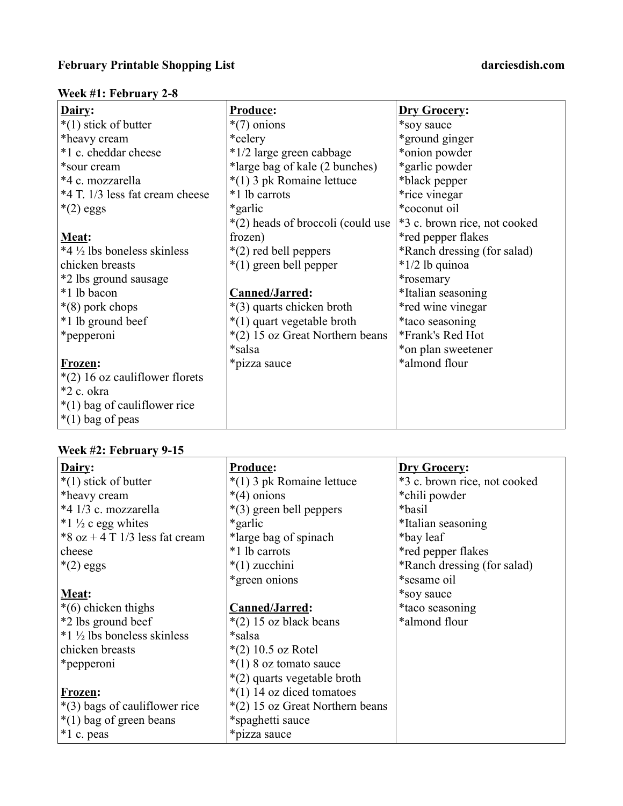## Week #1: February 2-8

| Dairy:                           | Produce:                          | Dry Grocery:                 |
|----------------------------------|-----------------------------------|------------------------------|
| $*(1)$ stick of butter           | $*(7)$ onions                     | *soy sauce                   |
| *heavy cream                     | *celery                           | *ground ginger               |
| *1 c. cheddar cheese             | *1/2 large green cabbage          | *onion powder                |
| *sour cream                      | *large bag of kale (2 bunches)    | *garlic powder               |
| *4 c. mozzarella                 | *(1) 3 pk Romaine lettuce         | *black pepper                |
| *4 T. 1/3 less fat cream cheese  | *1 lb carrots                     | *rice vinegar                |
| $*(2)$ eggs                      | *garlic                           | *coconut oil                 |
|                                  | *(2) heads of broccoli (could use | *3 c. brown rice, not cooked |
| Meat:                            | frozen)                           | *red pepper flakes           |
| *4 ½ lbs boneless skinless       | $*(2)$ red bell peppers           | *Ranch dressing (for salad)  |
| chicken breasts                  | $*(1)$ green bell pepper          | $*1/2$ lb quinoa             |
| *2 lbs ground sausage            |                                   | *rosemary                    |
| *1 lb bacon                      | Canned/Jarred:                    | *Italian seasoning           |
| $*(8)$ pork chops                | *(3) quarts chicken broth         | *red wine vinegar            |
| *1 lb ground beef                | *(1) quart vegetable broth        | *taco seasoning              |
| *pepperoni                       | *(2) 15 oz Great Northern beans   | *Frank's Red Hot             |
|                                  | *salsa                            | *on plan sweetener           |
| Frozen:                          | *pizza sauce                      | *almond flour                |
| $*(2)$ 16 oz cauliflower florets |                                   |                              |
| *2 c. okra                       |                                   |                              |
| $*(1)$ bag of cauliflower rice   |                                   |                              |
| $*(1)$ bag of peas               |                                   |                              |

# Week #2: February 9-15

| Dairy:                           | <b>Produce:</b>                 | <b>Dry Grocery:</b>          |
|----------------------------------|---------------------------------|------------------------------|
| $*(1)$ stick of butter           | *(1) 3 pk Romaine lettuce       | *3 c. brown rice, not cooked |
| *heavy cream                     | $*(4)$ onions                   | *chili powder                |
| *4 1/3 c. mozzarella             | $*(3)$ green bell peppers       | *basil                       |
| *1 $\frac{1}{2}$ c egg whites    | *garlic                         | *Italian seasoning           |
| *8 oz + 4 T $1/3$ less fat cream | *large bag of spinach           | *bay leaf                    |
| cheese                           | *1 lb carrots                   | *red pepper flakes           |
| $*(2)$ eggs                      | $*(1)$ zucchini                 | *Ranch dressing (for salad)  |
|                                  | *green onions                   | *sesame oil                  |
| Meat:                            |                                 | *soy sauce                   |
| $*(6)$ chicken thighs            | Canned/Jarred:                  | *taco seasoning              |
| *2 lbs ground beef               | $*(2)$ 15 oz black beans        | *almond flour                |
| *1 ½ lbs boneless skinless       | *salsa                          |                              |
| chicken breasts                  | $*(2)$ 10.5 oz Rotel            |                              |
| <i>*</i> pepperoni               | $*(1)$ 8 oz tomato sauce        |                              |
|                                  | *(2) quarts vegetable broth     |                              |
| <b>Frozen:</b>                   | $*(1)$ 14 oz diced tomatoes     |                              |
| *(3) bags of cauliflower rice    | *(2) 15 oz Great Northern beans |                              |
| $*(1)$ bag of green beans        | *spaghetti sauce                |                              |
| $*1$ c. peas                     | *pizza sauce                    |                              |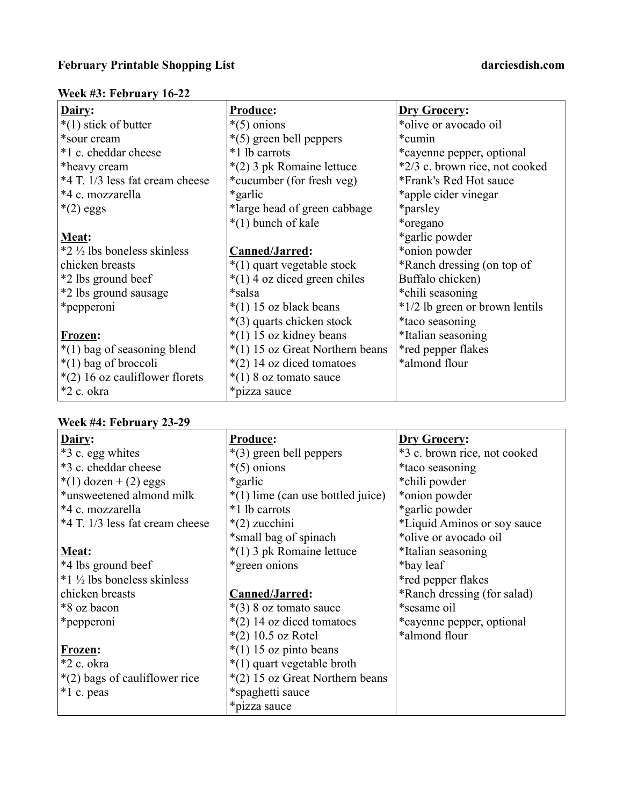## Week #3: February 16-22

| Dairy:                           | <b>Produce:</b>                   | <b>Dry Grocery:</b>            |
|----------------------------------|-----------------------------------|--------------------------------|
| $*(1)$ stick of butter           | $*(5)$ onions                     | *olive or avocado oil          |
| *sour cream                      | *(5) green bell peppers           | *cumin                         |
| *1 c. cheddar cheese             | *1 lb carrots                     | *cayenne pepper, optional      |
| *heavy cream                     | *(2) 3 pk Romaine lettuce         | *2/3 c. brown rice, not cooked |
| *4 T. 1/3 less fat cream cheese  | *cucumber (for fresh veg)         | *Frank's Red Hot sauce         |
| *4 c. mozzarella                 | *garlic                           | *apple cider vinegar           |
| $*(2)$ eggs                      | *large head of green cabbage      | *parsley                       |
|                                  | *(1) bunch of kale                | *oregano                       |
| Meat:                            |                                   | *garlic powder                 |
| *2 ½ lbs boneless skinless       | Canned/Jarred:                    | *onion powder                  |
| chicken breasts                  | *(1) quart vegetable stock        | *Ranch dressing (on top of     |
| *2 lbs ground beef               | *(1) 4 oz diced green chiles      | Buffalo chicken)               |
| *2 lbs ground sausage            | *salsa                            | *chili seasoning               |
| *pepperoni                       | $*(1)$ 15 oz black beans          | *1/2 lb green or brown lentils |
|                                  | *(3) quarts chicken stock         | *taco seasoning                |
| Frozen:                          | $*(1)$ 15 oz kidney beans         | *Italian seasoning             |
| $*(1)$ bag of seasoning blend    | $*(1)$ 15 oz Great Northern beans | *red pepper flakes             |
| *(1) bag of broccoli             | $*(2)$ 14 oz diced tomatoes       | *almond flour                  |
| $*(2)$ 16 oz cauliflower florets | $*(1)$ 8 oz tomato sauce          |                                |
| *2 c. okra                       | *pizza sauce                      |                                |

## Week #4: February 23-29

| Dairy:                                | <b>Produce:</b>                     | <b>Dry Grocery:</b>          |
|---------------------------------------|-------------------------------------|------------------------------|
| *3 c. egg whites                      | $*(3)$ green bell peppers           | *3 c. brown rice, not cooked |
| *3 c. cheddar cheese                  | $*(5)$ onions                       | *taco seasoning              |
| *(1) dozen + (2) eggs                 | *garlic                             | *chili powder                |
| *unsweetened almond milk              | $*(1)$ lime (can use bottled juice) | *onion powder                |
| *4 c. mozzarella                      | *1 lb carrots                       | *garlic powder               |
| *4 T. 1/3 less fat cream cheese       | $*(2)$ zucchini                     | *Liquid Aminos or soy sauce  |
|                                       | *small bag of spinach               | *olive or avocado oil        |
| Meat:                                 | *(1) 3 pk Romaine lettuce           | *Italian seasoning           |
| *4 lbs ground beef                    | *green onions                       | *bay leaf                    |
| $*1\frac{1}{2}$ lbs boneless skinless |                                     | *red pepper flakes           |
| chicken breasts                       | Canned/Jarred:                      | *Ranch dressing (for salad)  |
| *8 oz bacon                           | $*(3)$ 8 oz tomato sauce            | *sesame oil                  |
| *pepperoni                            | *(2) 14 oz diced tomatoes           | *cayenne pepper, optional    |
|                                       | $*(2)$ 10.5 oz Rotel                | *almond flour                |
| Frozen:                               | $*(1)$ 15 oz pinto beans            |                              |
| *2 c. okra                            | *(1) quart vegetable broth          |                              |
| *(2) bags of cauliflower rice         | $*(2)$ 15 oz Great Northern beans   |                              |
| *1 c. peas                            | *spaghetti sauce                    |                              |
|                                       | *pizza sauce                        |                              |